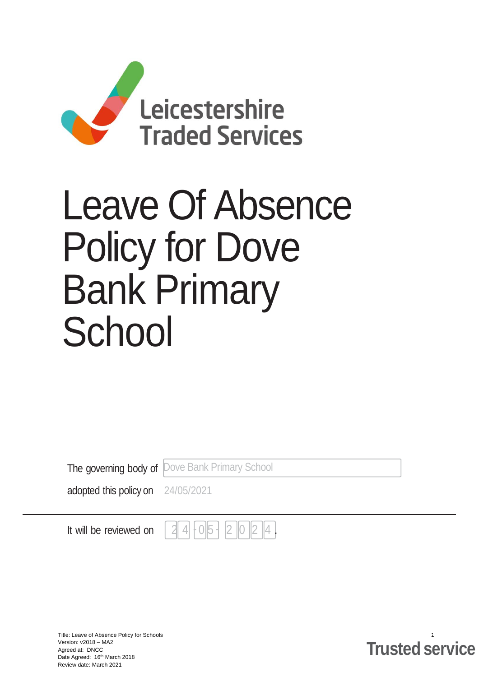

# Leave Of Absence Policy for Dove Bank Primary **School**

The governing body of Dove Bank Primary School

adopted this policy on 24/05/2021

It will be reviewed on

Title: Leave of Absence Policy for Schools 1 Version: v2018 – MA2 Agreed at: DNCC Date Agreed: 16th March 2018 Review date: March 2021

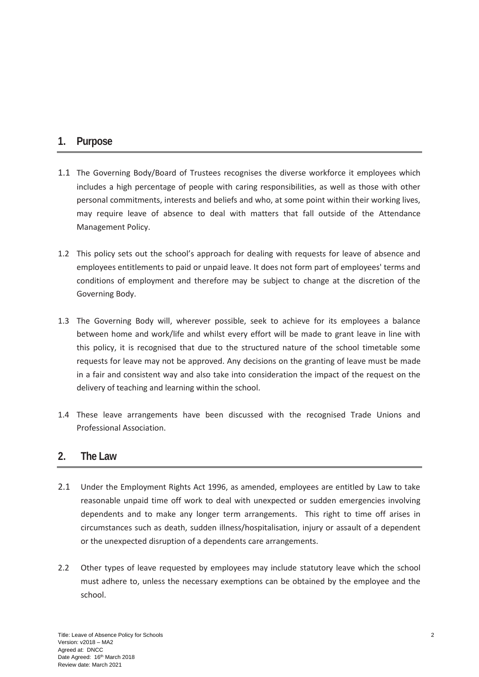## **1. Purpose**

- 1.1 The Governing Body/Board of Trustees recognises the diverse workforce it employees which includes a high percentage of people with caring responsibilities, as well as those with other personal commitments, interests and beliefs and who, at some point within their working lives, may require leave of absence to deal with matters that fall outside of the Attendance Management Policy.
- 1.2 This policy sets out the school's approach for dealing with requests for leave of absence and employees entitlements to paid or unpaid leave. It does not form part of employees' terms and conditions of employment and therefore may be subject to change at the discretion of the Governing Body.
- 1.3 The Governing Body will, wherever possible, seek to achieve for its employees a balance between home and work/life and whilst every effort will be made to grant leave in line with this policy, it is recognised that due to the structured nature of the school timetable some requests for leave may not be approved. Any decisions on the granting of leave must be made in a fair and consistent way and also take into consideration the impact of the request on the delivery of teaching and learning within the school.
- 1.4 These leave arrangements have been discussed with the recognised Trade Unions and Professional Association.

#### **2. The Law**

- 2.1 Under the Employment Rights Act 1996, as amended, employees are entitled by Law to take reasonable unpaid time off work to deal with unexpected or sudden emergencies involving dependents and to make any longer term arrangements. This right to time off arises in circumstances such as death, sudden illness/hospitalisation, injury or assault of a dependent or the unexpected disruption of a dependents care arrangements.
- 2.2 Other types of leave requested by employees may include statutory leave which the school must adhere to, unless the necessary exemptions can be obtained by the employee and the school.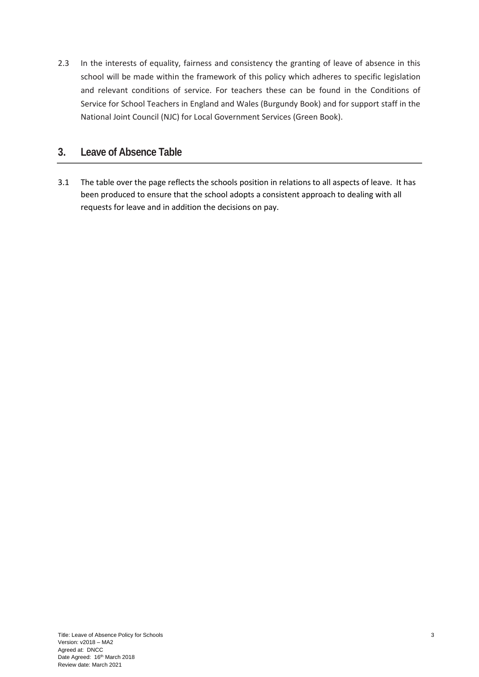2.3 In the interests of equality, fairness and consistency the granting of leave of absence in this school will be made within the framework of this policy which adheres to specific legislation and relevant conditions of service. For teachers these can be found in the Conditions of Service for School Teachers in England and Wales (Burgundy Book) and for support staff in the National Joint Council (NJC) for Local Government Services (Green Book).

### **3. Leave of Absence Table**

3.1 The table over the page reflects the schools position in relations to all aspects of leave. It has been produced to ensure that the school adopts a consistent approach to dealing with all requests for leave and in addition the decisions on pay.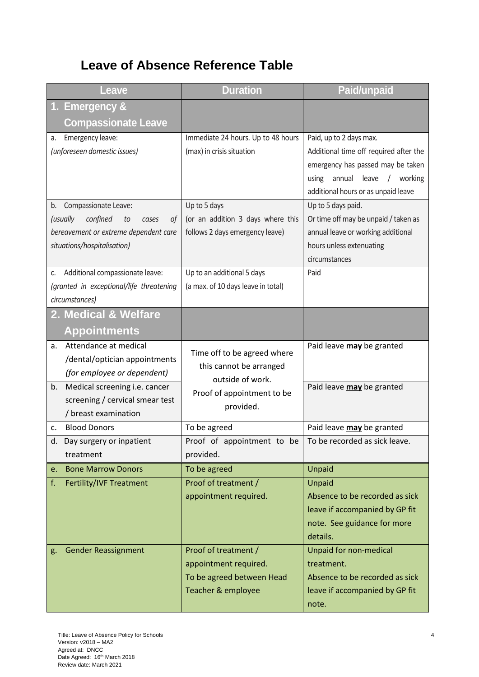# **Leave of Absence Reference Table**

| Leave                                                                  | <b>Duration</b>                    | <b>Paid/unpaid</b>                                        |
|------------------------------------------------------------------------|------------------------------------|-----------------------------------------------------------|
| <b>Emergency &amp;</b><br>1.                                           |                                    |                                                           |
| <b>Compassionate Leave</b>                                             |                                    |                                                           |
| Emergency leave:<br>a.                                                 | Immediate 24 hours. Up to 48 hours | Paid, up to 2 days max.                                   |
| (unforeseen domestic issues)                                           | (max) in crisis situation          | Additional time off required after the                    |
|                                                                        |                                    | emergency has passed may be taken                         |
|                                                                        |                                    | annual<br>leave<br>/ working<br>using                     |
| Compassionate Leave:<br>b.                                             | Up to 5 days                       | additional hours or as unpaid leave<br>Up to 5 days paid. |
| confined<br>(usually<br>to<br>οf<br>cases                              | (or an addition 3 days where this  | Or time off may be unpaid / taken as                      |
| bereavement or extreme dependent care                                  | follows 2 days emergency leave)    | annual leave or working additional                        |
| situations/hospitalisation)                                            |                                    | hours unless extenuating                                  |
|                                                                        |                                    | circumstances                                             |
| Additional compassionate leave:<br>C.                                  | Up to an additional 5 days         | Paid                                                      |
| (granted in exceptional/life threatening                               | (a max. of 10 days leave in total) |                                                           |
| circumstances)                                                         |                                    |                                                           |
| 2. Medical & Welfare                                                   |                                    |                                                           |
| <b>Appointments</b>                                                    |                                    |                                                           |
| Attendance at medical<br>a.                                            | Time off to be agreed where        | Paid leave may be granted                                 |
| /dental/optician appointments                                          | this cannot be arranged            |                                                           |
| (for employee or dependent)                                            | outside of work.                   |                                                           |
| Medical screening i.e. cancer<br>b.<br>screening / cervical smear test | Proof of appointment to be         | Paid leave may be granted                                 |
| / breast examination                                                   | provided.                          |                                                           |
| <b>Blood Donors</b><br>c.                                              | To be agreed                       | Paid leave may be granted                                 |
| d. Day surgery or inpatient                                            | Proof of appointment to be         | To be recorded as sick leave.                             |
| treatment                                                              | provided.                          |                                                           |
| <b>Bone Marrow Donors</b><br>e.                                        | To be agreed                       | Unpaid                                                    |
| f.<br>Fertility/IVF Treatment                                          | Proof of treatment /               | Unpaid                                                    |
|                                                                        | appointment required.              | Absence to be recorded as sick                            |
|                                                                        |                                    | leave if accompanied by GP fit                            |
|                                                                        |                                    | note. See guidance for more<br>details.                   |
| <b>Gender Reassignment</b><br>g.                                       | Proof of treatment /               | Unpaid for non-medical                                    |
|                                                                        | appointment required.              | treatment.                                                |
|                                                                        | To be agreed between Head          | Absence to be recorded as sick                            |
|                                                                        | Teacher & employee                 | leave if accompanied by GP fit<br>note.                   |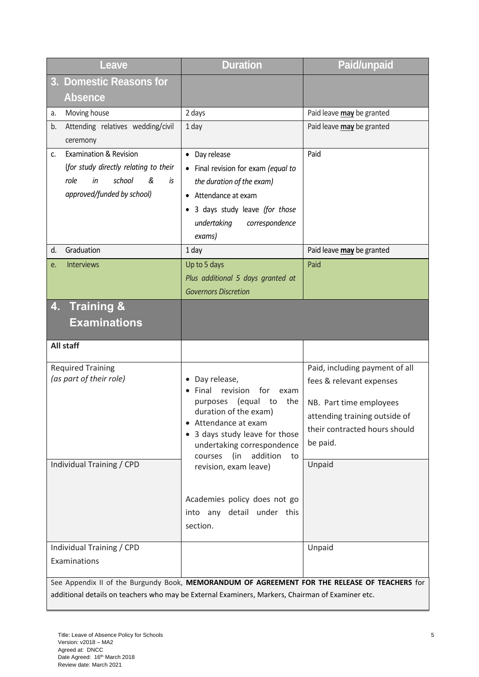| Leave                                                                                                                                                                                             | <b>Duration</b>                                                                                                                                                                                             | <b>Paid/unpaid</b>                                                                                                                                                  |  |  |
|---------------------------------------------------------------------------------------------------------------------------------------------------------------------------------------------------|-------------------------------------------------------------------------------------------------------------------------------------------------------------------------------------------------------------|---------------------------------------------------------------------------------------------------------------------------------------------------------------------|--|--|
| <b>Domestic Reasons for</b><br>3 <sub>1</sub>                                                                                                                                                     |                                                                                                                                                                                                             |                                                                                                                                                                     |  |  |
| <b>Absence</b>                                                                                                                                                                                    |                                                                                                                                                                                                             |                                                                                                                                                                     |  |  |
| Moving house<br>a.                                                                                                                                                                                | 2 days                                                                                                                                                                                                      | Paid leave may be granted                                                                                                                                           |  |  |
| Attending relatives wedding/civil<br>b.<br>ceremony                                                                                                                                               | 1 day                                                                                                                                                                                                       | Paid leave may be granted                                                                                                                                           |  |  |
| <b>Examination &amp; Revision</b><br>$\mathsf{C}$ .<br>(for study directly relating to their<br>school<br>role<br>in<br>&<br>is<br>approved/funded by school)                                     | Day release<br>$\bullet$<br>Final revision for exam (equal to<br>the duration of the exam)<br>• Attendance at exam<br>3 days study leave (for those<br>$\bullet$<br>undertaking<br>correspondence<br>exams) | Paid                                                                                                                                                                |  |  |
| Graduation<br>d.                                                                                                                                                                                  | 1 day                                                                                                                                                                                                       | Paid leave may be granted                                                                                                                                           |  |  |
| <b>Interviews</b><br>е.                                                                                                                                                                           | Up to 5 days<br>Plus additional 5 days granted at<br><b>Governors Discretion</b>                                                                                                                            | Paid                                                                                                                                                                |  |  |
| <b>Training &amp;</b><br>4.<br><b>Examinations</b>                                                                                                                                                |                                                                                                                                                                                                             |                                                                                                                                                                     |  |  |
| All staff                                                                                                                                                                                         |                                                                                                                                                                                                             |                                                                                                                                                                     |  |  |
| <b>Required Training</b><br>(as part of their role)                                                                                                                                               | Day release,<br>Final<br>revision<br>for<br>exam<br>(equal<br>the<br>purposes<br>to<br>duration of the exam)<br>Attendance at exam<br>3 days study leave for those<br>undertaking correspondence            | Paid, including payment of all<br>fees & relevant expenses<br>NB. Part time employees<br>attending training outside of<br>their contracted hours should<br>be paid. |  |  |
| Individual Training / CPD                                                                                                                                                                         | addition<br>courses<br>(in<br>to<br>revision, exam leave)<br>Academies policy does not go<br>into any detail under this                                                                                     | Unpaid                                                                                                                                                              |  |  |
|                                                                                                                                                                                                   | section.                                                                                                                                                                                                    |                                                                                                                                                                     |  |  |
| Individual Training / CPD<br>Examinations                                                                                                                                                         |                                                                                                                                                                                                             | Unpaid                                                                                                                                                              |  |  |
| See Appendix II of the Burgundy Book, MEMORANDUM OF AGREEMENT FOR THE RELEASE OF TEACHERS for<br>additional details on teachers who may be External Examiners, Markers, Chairman of Examiner etc. |                                                                                                                                                                                                             |                                                                                                                                                                     |  |  |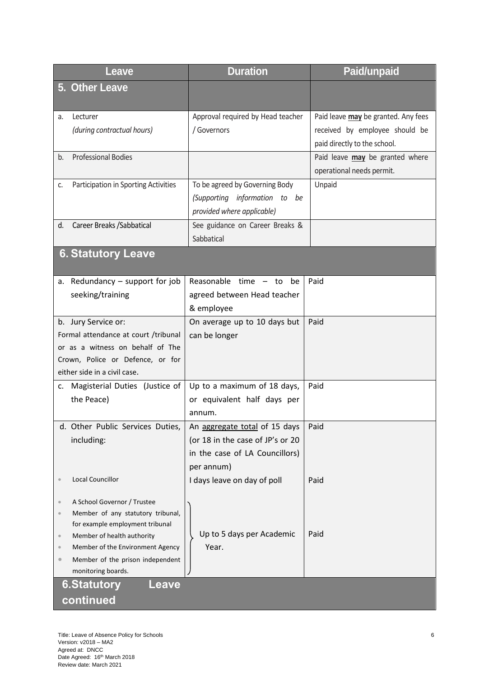| Leave                                                                             | <b>Duration</b>                                               | <b>Paid/unpaid</b>                                             |  |
|-----------------------------------------------------------------------------------|---------------------------------------------------------------|----------------------------------------------------------------|--|
| 5. Other Leave                                                                    |                                                               |                                                                |  |
| Lecturer<br>a.                                                                    | Approval required by Head teacher                             | Paid leave may be granted. Any fees                            |  |
| (during contractual hours)                                                        | / Governors                                                   | received by employee should be<br>paid directly to the school. |  |
| <b>Professional Bodies</b><br>b.                                                  |                                                               | Paid leave may be granted where                                |  |
|                                                                                   |                                                               | operational needs permit.                                      |  |
| Participation in Sporting Activities<br>c.                                        | To be agreed by Governing Body                                | Unpaid                                                         |  |
|                                                                                   | (Supporting information to be                                 |                                                                |  |
| Career Breaks / Sabbatical<br>d.                                                  | provided where applicable)<br>See guidance on Career Breaks & |                                                                |  |
|                                                                                   | Sabbatical                                                    |                                                                |  |
| <b>6. Statutory Leave</b>                                                         |                                                               |                                                                |  |
| a. Redundancy $-$ support for job                                                 | Reasonable $time - to$<br>be                                  | Paid                                                           |  |
| seeking/training                                                                  | agreed between Head teacher<br>& employee                     |                                                                |  |
| b. Jury Service or:                                                               | On average up to 10 days but                                  | Paid                                                           |  |
| Formal attendance at court /tribunal                                              | can be longer                                                 |                                                                |  |
| or as a witness on behalf of The                                                  |                                                               |                                                                |  |
| Crown, Police or Defence, or for                                                  |                                                               |                                                                |  |
| either side in a civil case.                                                      |                                                               |                                                                |  |
| c. Magisterial Duties (Justice of                                                 | Up to a maximum of 18 days,                                   | Paid                                                           |  |
| the Peace)                                                                        | or equivalent half days per<br>annum.                         |                                                                |  |
| d. Other Public Services Duties,                                                  | An aggregate total of 15 days                                 | Paid                                                           |  |
| including:                                                                        | (or 18 in the case of JP's or 20                              |                                                                |  |
|                                                                                   | in the case of LA Councillors)                                |                                                                |  |
|                                                                                   | per annum)                                                    |                                                                |  |
| <b>Local Councillor</b>                                                           | I days leave on day of poll                                   | Paid                                                           |  |
| A School Governor / Trustee<br>$\color{black} \bullet$                            |                                                               |                                                                |  |
| Member of any statutory tribunal,<br>$\bullet$<br>for example employment tribunal |                                                               |                                                                |  |
| Member of health authority<br>$\color{black} \bullet$                             | Up to 5 days per Academic                                     | Paid                                                           |  |
| Member of the Environment Agency<br>$\color{black} \bullet$                       | Year.                                                         |                                                                |  |
| Member of the prison independent<br>$\bullet$                                     |                                                               |                                                                |  |
| monitoring boards.<br><b>6.Statutory</b><br>Leave                                 |                                                               |                                                                |  |
| continued                                                                         |                                                               |                                                                |  |
|                                                                                   |                                                               |                                                                |  |